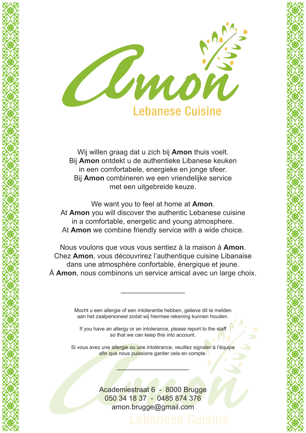

Wij willen graag dat u zich bij **Amon** thuis voelt. Bij **Amon** ontdekt u de authentieke Libanese keuken in een comfortabele, energieke en jonge sfeer. Bij **Amon** combineren we een vriendelijke service met een uitgebreide keuze.

We want you to feel at home at **Amon**. At **Amon** you will discover the authentic Lebanese cuisine in a comfortable, energetic and young atmosphere. At **Amon** we combine friendly service with a wide choice.

XXXXXXXXXXXXXXXXXXXXXXXXX

XXXXXXXXXXXXXXXXXXXXXXXXX

Nous voulons que vous vous sentiez à la maison à **Amon**. Chez **Amon**, vous découvrirez l'authentique cuisine Libanaise dans une atmosphère confortable, énergique et jeune. À **Amon**, nous combinons un service amical avec un large choix.

> Mocht u een allergie of een intolerantie hebben, gelieve dit te melden aan het zaalpersoneel zodat wij hiermee rekening kunnen houden.

\_\_\_\_\_\_\_\_\_\_\_\_\_\_\_\_

If you have an allergy or an intolerance, please report to the staff so that we can keep this into account.

Si vous avez une allergie ou une intolérance, veuillez signaler à l'équipe afin que nous puissions garder cela en compte.

 $\overline{\phantom{a}}$ 

Academiestraat 6 - 8000 Brugge 050 34 18 37 - 0485 874 376 amon.brugge@gmail.com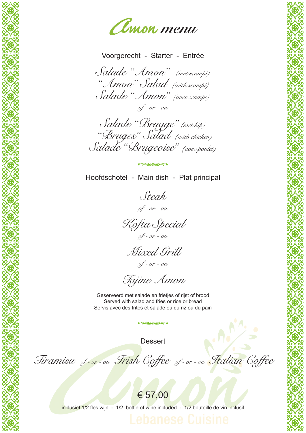

Voorgerecht - Starter - Entrée

*Salade "Amon" (met scampi) "Amon" Salad (with scampi) Salade "Amon" (avec scampi) of - or - ou*

*Salade "Brugge" (met kip) "Bruges" Salad (with chicken) Salade "Brugeoise" (avec poulet)*

Hoofdschotel - Main dish - Plat principal

**CARLINGS** 

*Steak of - or - ou*

*Kofta Special of - or - ou*

XXXXXXXXXXXXXXXXXXXXXXXXX

*Mixed Grill of - or - ou*

*Tajine Amon*

Geserveerd met salade en frietjes of rijst of brood Served with salad and fries or rice or bread Servis avec des frites et salade ou du riz ou du pain

**Dessert** 

 $AC/3$ 

**CARLING COMPANY** 

XXXXXXXXXXXXXXXXXXXXXXXXX

*Tiramisu of - or - ou Irish Coffee of - or - ou Italian Coffee*



inclusief 1/2 fles wijn - 1/2 bottle of wine included - 1/2 bouteille de vin inclusif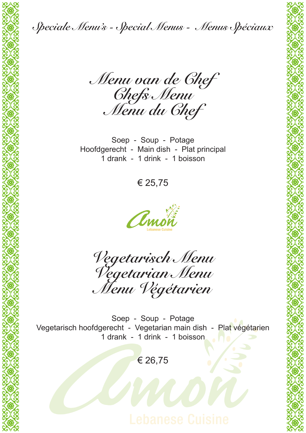

*Menu van de Chef Chefs Menu Menu du Chef*

Soep - Soup - Potage Hoofdgerecht - Main dish - Plat principal 1 drank - 1 drink - 1 boisson

€ 25,75



XXXXXXXXXXXXXXXXXXXXXXXXX

*Vegetarisch Menu Vegetarian Menu Menu Végétarien*

Soep - Soup - Potage Vegetarisch hoofdgerecht - Vegetarian main dish - Plat végétarien 1 drank - 1 drink - 1 boisson

€ 26,75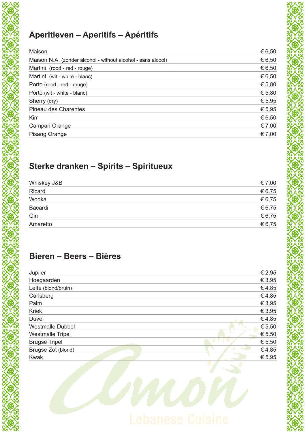# **Aperitieven – Aperitifs – Apéritifs**

| Maison                                                       | € 6,50 |
|--------------------------------------------------------------|--------|
| Maison N.A. (zonder alcohol - without alcohol - sans alcool) | € 6,50 |
| Martini (rood - red - rouge)                                 | € 6,50 |
| Martini (wit - white - blanc)                                | € 6,50 |
| Porto (rood - red - rouge)                                   | € 5,80 |
| Porto (wit - white - blanc)                                  | € 5,80 |
| Sherry (dry)                                                 | € 5,95 |
| <b>Pineau des Charentes</b>                                  | € 5,95 |
| Kirr                                                         | € 6,50 |
| Campari Orange                                               | € 7,00 |
| <b>Pisang Orange</b>                                         | € 7,00 |
|                                                              |        |

# **Sterke dranken – Spirits – Spiritueux**

| Whiskey J&B | € 7,00 |
|-------------|--------|
| Ricard      | € 6,75 |
| Wodka       | € 6,75 |
| Bacardi     | € 6,75 |
| Gin         | € 6,75 |
| Amaretto    | € 6,75 |
|             |        |

XXXXXXXXXXXXXXXXXXXXXXXXX

## **Bieren – Beers – Bières**

XXXXXXXXXXXXXXXXXXXXXXXXX

| Jupiler                 | € 2,95 |
|-------------------------|--------|
| Hoegaarden              | € 3,95 |
| Leffe (blond/bruin)     | €4,85  |
| Carlsberg               | €4,85  |
| Palm                    | € 3,95 |
| <b>Kriek</b>            | € 3,95 |
| Duvel                   | €4,85  |
| <b>Westmalle Dubbel</b> | € 5,50 |
| <b>Westmalle Tripel</b> | € 5,50 |
| <b>Brugse Tripel</b>    | € 5,50 |
| Brugse Zot (blond)      | €4,85  |
| Kwak                    | € 5,95 |
|                         |        |

Crnon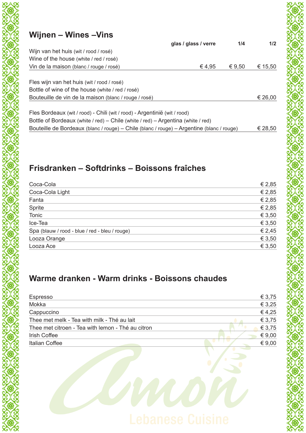# **Wijnen – Wines –Vins**

|                                                                                           | glas / glass / verre | 1/4    | 1/2     |
|-------------------------------------------------------------------------------------------|----------------------|--------|---------|
| Wijn van het huis (wit / rood / rosé)                                                     |                      |        |         |
| Wine of the house (white / red / rosé)                                                    |                      |        |         |
| Vin de la maison (blanc / rouge / rosé)                                                   | €4,95                | € 9,50 | € 15,50 |
|                                                                                           |                      |        |         |
| Fles wijn van het huis (wit / rood / rosé)                                                |                      |        |         |
| Bottle of wine of the house (white / red / rosé)                                          |                      |        |         |
| Bouteuille de vin de la maison (blanc / rouge / rosé)                                     |                      |        | € 26,00 |
|                                                                                           |                      |        |         |
| Fles Bordeaux (wit / rood) - Chili (wit / rood) - Argentinië (wit / rood)                 |                      |        |         |
| Bottle of Bordeaux (white / red) – Chile (white / red) – Argentina (white / red)          |                      |        |         |
| Bouteille de Bordeaux (blanc / rouge) – Chile (blanc / rouge) – Argentine (blanc / rouge) |                      |        | € 28,50 |

# **Frisdranken – Softdrinks – Boissons fraîches**

| Coca-Cola                                      | € 2,85 |
|------------------------------------------------|--------|
| Coca-Cola Light                                | € 2,85 |
| Fanta                                          | € 2,85 |
| Sprite                                         | € 2,85 |
| Tonic                                          | € 3,50 |
| Ice-Tea                                        | € 3,50 |
| Spa (blauw / rood - blue / red - bleu / rouge) | € 2,45 |
| Looza Orange                                   | € 3,50 |
| Looza Ace                                      | € 3,50 |
|                                                |        |

XXXXXXXXXXXXXXXXXXXXXXXXX

## **Warme dranken - Warm drinks - Boissons chaudes**

| Espresso                                          | € 3,75   |
|---------------------------------------------------|----------|
| Mokka                                             | € 3,25   |
| Cappuccino                                        | €4,25    |
| Thee met melk - Tea with milk - Thé au lait       | € 3,75   |
| Thee met citroen - Tea with lemon - Thé au citron | € 3,75   |
| <b>Irish Coffee</b>                               | € $9,00$ |
| Italian Coffee                                    | € $9,00$ |
|                                                   |          |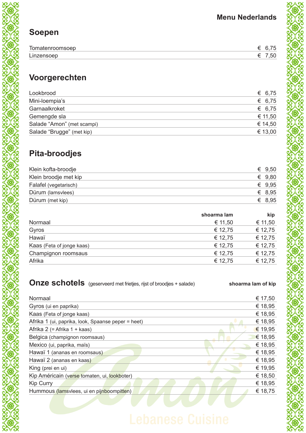# **Soepen**

| Tomatenroomsoep |  |
|-----------------|--|
| Linzensoep      |  |

# **Voorgerechten**

| Lookbrood                  | € 6,75  |
|----------------------------|---------|
| Mini-loempia's             | € 6,75  |
| Garnaalkroket              | € 6,75  |
| Gemengde sla               | € 11,50 |
| Salade "Amon" (met scampi) | € 14,50 |
| Salade "Brugge" (met kip)  | € 13,00 |

# **Pita-broodjes**

| Klein kofta-broodje   | € $9,50$ |
|-----------------------|----------|
| Klein broodje met kip | € $9,80$ |
| Falafel (vegetarisch) | € $9.95$ |
| Dürum (lamsvlees)     | € 8,95   |
| Dürum (met kip)       | € 8,95   |

|                           | shoarma lam | kip     |
|---------------------------|-------------|---------|
| Normaal                   | € 11,50     | € 11,50 |
| Gyros                     | € 12,75     | € 12,75 |
| Hawaï                     | € 12,75     | € 12,75 |
| Kaas (Feta of jonge kaas) | € 12,75     | € 12,75 |
| Champignon roomsaus       | € 12,75     | € 12,75 |
| Afrika                    | € 12,75     | € 12,75 |
|                           |             |         |

|  | <b>Onze schotels</b> (geserveerd met frietjes, rijst of broodjes + salade) | shoarma lam of kip |
|--|----------------------------------------------------------------------------|--------------------|
|--|----------------------------------------------------------------------------|--------------------|

| Normaal                                            | € 17,50 |
|----------------------------------------------------|---------|
| Gyros (ui en paprika)                              | € 18,95 |
| Kaas (Feta of jonge kaas)                          | € 18,95 |
| Afrika 1 (ui, paprika, look, Spaanse peper = heet) | € 18,95 |
| Afrika 2 (= Afrika 1 + kaas)                       | € 19,95 |
| Belgica (champignon roomsaus)                      | € 18,95 |
| Mexico (ui, paprika, maïs)                         | € 18,95 |
| Hawaï 1 (ananas en roomsaus)                       | € 18,95 |
| Hawaï 2 (ananas en kaas)                           | € 18,95 |
| King (prei en ui)                                  | € 19,95 |
| Kip Américain (verse tomaten, ui, lookboter)       | € 18,50 |
| <b>Kip Curry</b>                                   | € 18,95 |
| Hummous (lamsviees, ui en pijnboompitten)          | € 18,75 |
|                                                    |         |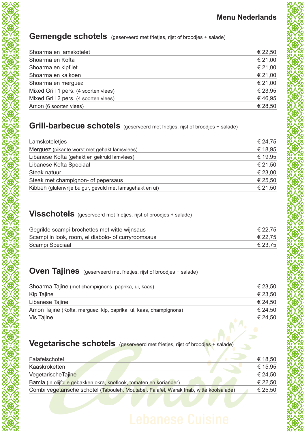# Gemengde schotels (geserveerd met frietjes, rijst of broodjes + salade)

| Shoarma en lamskotelet                | € 22,50 |
|---------------------------------------|---------|
| Shoarma en Kofta                      | € 21,00 |
| Shoarma en kipfilet                   | € 21,00 |
| Shoarma en kalkoen                    | € 21,00 |
| Shoarma en merguez                    | € 21,00 |
| Mixed Grill 1 pers. (4 soorten vlees) | € 23,95 |
| Mixed Grill 2 pers. (4 soorten vlees) | €46,95  |
| Amon (6 soorten vlees)                | € 28,50 |

## **Grill-barbecue schotels** (geserveerd met frietjes, rijst of broodjes + salade)

| Lamskoteletjes                                           | € 24,75 |
|----------------------------------------------------------|---------|
| Merguez (pikante worst met gehakt lamsvlees)             | € 18,95 |
| Libanese Kofta (gehakt en gekruid lamvlees)              | € 19,95 |
| Libanese Kofta Speciaal                                  | € 21,50 |
| Steak natuur                                             | € 23,00 |
| Steak met champignon- of pepersaus                       | € 25,50 |
| Kibbeh (glutenvrije bulgur, gevuld met lamsgehakt en ui) | € 21,50 |

# **Visschotels** (geserveerd met frietjes, rijst of broodjes + salade)

| Gegrilde scampi-brochettes met witte wijnsaus      | € 22,75 |
|----------------------------------------------------|---------|
| Scampi in look, room, el diabolo- of curryroomsaus | € 22,75 |
| Scampi Speciaal                                    | € 23,75 |

## **Oven Tajines** (geserveerd met frietjes, rijst of broodjes + salade)

| Shoarma Tajine (met champignons, paprika, ui, kaas)               | € 23,50 |
|-------------------------------------------------------------------|---------|
| Kip Tajine                                                        | € 23,50 |
| Libanese Tajine                                                   | € 24,50 |
| Amon Tajine (Kofta, merguez, kip, paprika, ui, kaas, champignons) | € 24,50 |
| Vis Tajine                                                        | € 24,50 |
|                                                                   |         |

## **Vegetarische schotels** (geserveerd met frietjes, rijst of broodjes + salade)

| Falafelschotel                                                                         | € 18,50 |
|----------------------------------------------------------------------------------------|---------|
| Kaaskroketten                                                                          | € 15,95 |
| VegetarischeTajine                                                                     | € 24.50 |
| Bamia (in olijfolie gebakken okra, knoflook, tomaten en koriander)                     | € 22,50 |
| Combi vegetarische schotel (Tabouleh, Moutabel, Falafel, Warak Inab, witte koolsalade) | € 25,50 |
|                                                                                        |         |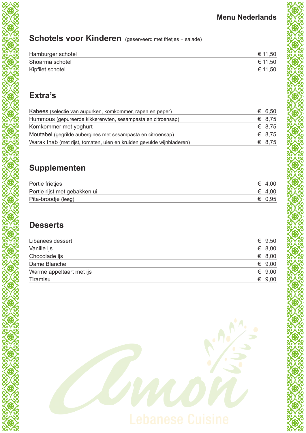# **Schotels voor Kinderen** (geserveerd met frietjes + salade)

| Hamburger schotel | € 11,50 |
|-------------------|---------|
| Shoarma schotel   | € 11,50 |
| Kipfilet schotel  | € 11,50 |

# **Extra's**

| Kabees (selectie van augurken, komkommer, rapen en peper)             | € 6,50 |
|-----------------------------------------------------------------------|--------|
| Hummous (gepureerde kikkererwten, sesampasta en citroensap)           | € 8.75 |
| Komkommer met yoghurt                                                 | € 8,75 |
| Moutabel (gegrilde aubergines met sesampasta en citroensap)           | € 8.75 |
| Warak Inab (met rijst, tomaten, uien en kruiden gevulde wijnbladeren) | € 8,75 |

# **Supplementen**

| Portie frietjes              | $\epsilon$ 4,00 |
|------------------------------|-----------------|
| Portie rijst met gebakken ui | $\epsilon$ 4,00 |
| Pita-broodje (leeg)          | $\epsilon$ 0.95 |

## **Desserts**

| Libanees dessert         | € $9,50$        |
|--------------------------|-----------------|
| Vanille ijs              | € 8,00          |
| Chocolade ijs            | € 8,00          |
| Dame Blanche             | € $9,00$        |
| Warme appeltaart met ijs | $\epsilon$ 9,00 |
| Tiramisu                 | $\epsilon$ 9,00 |
|                          |                 |

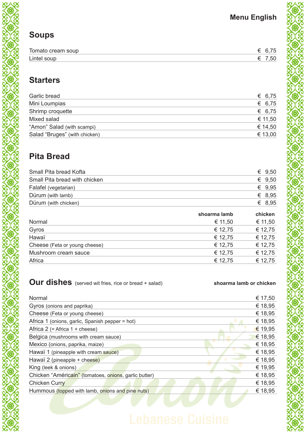# **Menu English**

# **Soups**

| Tomato cream soup |  |
|-------------------|--|
| Lintel soup       |  |

# **Starters**

| € 6,75  |
|---------|
| € 6,75  |
| € 6,75  |
| € 11,50 |
| € 14,50 |
| € 13,00 |
|         |

# **Pita Bread**

| Dürum (with lamb)<br>Dürum (with chicken) |          |
|-------------------------------------------|----------|
|                                           | € 8.95   |
|                                           | € 8.95   |
| Falafel (vegetarian)                      | € $9.95$ |
| Small Pita bread with chicken             | € $9,50$ |
| Small Pita bread Kofta                    | € $9,50$ |

|                               | shoarma lamb | chicken |
|-------------------------------|--------------|---------|
| Normal                        | € 11,50      | € 11,50 |
| Gyros                         | € 12,75      | € 12,75 |
| Hawaï                         | € 12,75      | € 12,75 |
| Cheese (Feta or young cheese) | € 12,75      | € 12,75 |
| Mushroom cream sauce          | € 12,75      | € 12,75 |
| Africa                        | € 12,75      | € 12,75 |
|                               |              |         |

## **Our dishes** (served wit fries, rice or bread + salad) **shoarma lamb or chicken**

| Normal                                                | € 17,50 |
|-------------------------------------------------------|---------|
| Gyros (onions and paprika)                            | € 18,95 |
| Cheese (Feta or young cheese)                         | € 18,95 |
| Africa 1 (onions, garlic, Spanish pepper = hot)       | € 18,95 |
| Africa $2$ (= Africa $1 +$ cheese)                    | € 19,95 |
| Belgica (mushrooms with cream sauce)                  | € 18,95 |
| Mexico (onions, paprika, maize)                       | € 18,95 |
| Hawaï 1 (pineapple with cream sauce)                  | € 18,95 |
| Hawaï 2 (pineapple + cheese)                          | € 18,95 |
| King (leek & onions)                                  | € 19,95 |
| Chicken "Américain" (tomatoes, onions, garlic butter) | € 18,95 |
| <b>Chicken Curry</b>                                  | € 18,95 |
| Hummous (topped with lamb, onions and pine nuts)      | € 18,95 |
|                                                       |         |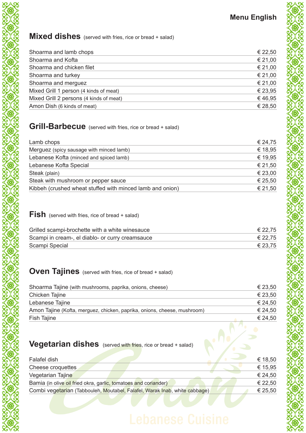### **Mixed dishes** (served with fries, rice or bread + salad)

| Shoarma and lamb chops                  | € 22,50 |
|-----------------------------------------|---------|
| Shoarma and Kofta                       | € 21,00 |
| Shoarma and chicken filet               | € 21,00 |
| Shoarma and turkey                      | € 21,00 |
| Shoarma and merguez                     | € 21,00 |
| Mixed Grill 1 person (4 kinds of meat)  | € 23,95 |
| Mixed Grill 2 persons (4 kinds of meat) | €46,95  |
| Amon Dish (6 kinds of meat)             | € 28,50 |

## **Grill-Barbecue** (served with fries, rice or bread + salad)

| Lamb chops                                                | € 24,75 |
|-----------------------------------------------------------|---------|
| Merguez (spicy sausage with minced lamb)                  | € 18,95 |
| Lebanese Kofta (minced and spiced lamb)                   | € 19,95 |
| Lebanese Kofta Special                                    | € 21,50 |
| Steak (plain)                                             | € 23,00 |
| Steak with mushroom or pepper sauce                       | € 25,50 |
| Kibbeh (crushed wheat stuffed with minced lamb and onion) | € 21,50 |
|                                                           |         |

### **Fish** (served with fries, rice of bread + salad)

XXXXXXXXXXXXXXXXXXXXXXXXX

| Grilled scampi-brochette with a white winesauce  | € 22,75 |
|--------------------------------------------------|---------|
| Scampi in cream-, el diablo- or curry creamsauce | € 22,75 |
| Scampi Special                                   | € 23,75 |

## **Oven Tajines** (served with fries, rice of bread + salad)

| Shoarma Tajine (with mushrooms, paprika, onions, cheese)                 | € 23,50 |
|--------------------------------------------------------------------------|---------|
| Chicken Tajine                                                           | € 23,50 |
| Lebanese Tajine                                                          | € 24,50 |
| Amon Tajine (Kofta, merguez, chicken, paprika, onions, cheese, mushroom) | € 24,50 |
| <b>Fish Tajine</b>                                                       | € 24,50 |
|                                                                          |         |
| <b>Vegetarian dishes</b> (served with fries, rice or bread + salad)      |         |

# **Vegetarian dishes** (served with fries, rice or bread + salad)

| Falafel dish                                                               | € 18,50 |
|----------------------------------------------------------------------------|---------|
| Cheese croquettes                                                          | € 15,95 |
| Vegetarian Tajine                                                          | € 24,50 |
| Bamia (in olive oil fried okra, garlic, tomatoes and coriander)            | € 22,50 |
| Combi vegetarian (Tabbouleh, Moutabel, Falafel, Warak Inab, white cabbage) | € 25,50 |
|                                                                            |         |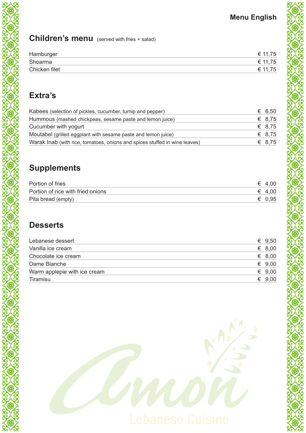# **Children's menu** (served with fries + salad)

| Hamburger     | € 11.75 |
|---------------|---------|
| Shoarma       | € 11.75 |
| Chicken filet | € 11.75 |

# **Extra's**

| Kabees (selection of pickles, cucumber, turnip and pepper)                 |        | € 6.50 |
|----------------------------------------------------------------------------|--------|--------|
| Hummous (mashed chickpeas, sesame paste and lemon juice)                   | € 8.75 |        |
| Cucumber with yogurt                                                       | € 8.75 |        |
| Moutabel (grilled eggplant with sesame paste and lemon juice)              | € 8.75 |        |
| Warak Inab (with rice, tomatoes, onions and spices stuffed in wine leaves) | € 8.75 |        |

# **Supplements**

| Portion of fries                  | $\epsilon$ 4,00 |
|-----------------------------------|-----------------|
| Portion of rice with fried onions | $\epsilon$ 4,00 |
| Pita bread (empty)                | € 0,95          |

## **Desserts**

| Lebanese dessert             | € $9,50$        |
|------------------------------|-----------------|
| Vanilla ice cream            | $\epsilon$ 8,00 |
| Chocolate ice cream          | € 8,00          |
| Dame Blanche                 | $\epsilon$ 9.00 |
| Warm applepie with ice cream | $\epsilon$ 9.00 |
| Tiramisu                     | € 9,00          |
|                              |                 |

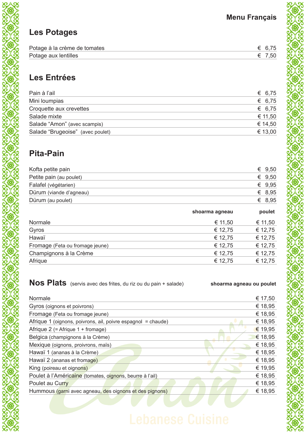# **Les Potages**

| Potage à la crème de tomates | € 6.75 |
|------------------------------|--------|
| Potage aux lentilles         | € 7.50 |

# **Les Entrées**

| Pain à l'ail                     | € 6,75  |
|----------------------------------|---------|
| Mini loumpias                    | € 6,75  |
| Croquette aux crevettes          | € 6,75  |
| Salade mixte                     | € 11,50 |
| Salade "Amon" (avec scampis)     | € 14,50 |
| Salade "Brugeoise" (avec poulet) | € 13,00 |

# **Pita-Pain**

| Kofta petite pain       | € $9,50$ |
|-------------------------|----------|
| Petite pain (au poulet) | € $9,50$ |
| Falafel (végétarien)    | € $9.95$ |
| Dürum (viande d'agneau) | € 8,95   |
| Dürum (au poulet)       | € 8.95   |

|                                 | shoarma agneau | poulet  |
|---------------------------------|----------------|---------|
| Normale                         | € 11,50        | € 11,50 |
| Gyros                           | € 12,75        | € 12,75 |
| Hawaï                           | € 12,75        | € 12,75 |
| Fromage (Feta ou fromage jeune) | € 12,75        | € 12,75 |
| Champignons à la Crème          | € 12,75        | € 12,75 |
| Afrique                         | € 12,75        | € 12,75 |
|                                 |                |         |

**Nos Plats** (servis avec des frites, du riz ou du pain + salade) **shoarma agneau ou poulet** 

| Normale                                                      | € 17,50 |
|--------------------------------------------------------------|---------|
| Gyros (oignons et poivrons)                                  | € 18,95 |
| Fromage (Feta ou fromage jeune)                              | € 18,95 |
| Afrique 1 (oignons, poivrons, ail, poivre espagnol = chaude) | € 18,95 |
| Afrique $2$ (= Afrique $1 +$ fromage)                        | € 19,95 |
| Belgica (champignons à la Crème)                             | € 18,95 |
| Mexique (oignons, proivrons, maïs)                           | € 18,95 |
| Hawaï 1 (ananas à la Crème)                                  | € 18,95 |
| Hawaï 2 (ananas et fromage)                                  | € 18,95 |
| King (poireau et oignons)                                    | € 19,95 |
| Poulet à l'Américaine (tomates, oignons, beurre à l'ail)     | € 18,95 |
| Poulet au Curry                                              | € 18,95 |
| Hummous (garni avec agneau, des oignons et des pignons)      | € 18,95 |
|                                                              |         |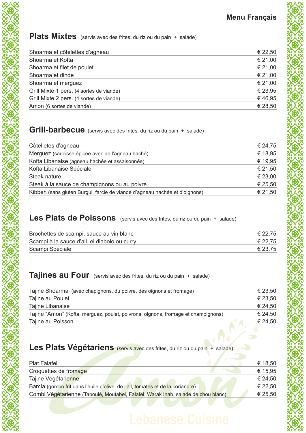## Plats Mixtes (servis avec des frites, du riz ou du pain + salade)

| € 22,50 |
|---------|
| € 21,00 |
| € 21,00 |
| € 21,00 |
| € 21,00 |
| € 23,95 |
| €46,95  |
| € 28,50 |
|         |

### **Grill-barbecue** (servis avec des frites, du riz ou du pain + salade)

| Côtelletes d'agneau                                                        | € 24,75 |
|----------------------------------------------------------------------------|---------|
| Merguez (saucisse épicée avec de l'agneau haché)                           | € 18,95 |
| Kofta Libanaise (agneau hachée et assaisonnée)                             | € 19,95 |
| Kofta Libanaise Spéciale                                                   | € 21,50 |
| Steak nature                                                               | € 23,00 |
| Steak à la sauce de champignons ou au poivre                               | € 25,50 |
| Kibbeh (sans gluten Burgul, farcie de viande d'agneau hachée et d'oignons) | € 21,50 |
|                                                                            |         |

### Les Plats de Poissons (servis avec des frites, du riz ou du pain + salade)

| Brochettes de scampi, sauce au vin blanc     | € 22,75 |
|----------------------------------------------|---------|
| Scampi à la sauce d'ail, el diabolo ou curry | € 22,75 |
| Scampi Spéciale                              | € 23,75 |

## **Tajines au Four** (servis avec des frites, du riz ou du pain + salade)

XXXXXXXXXXXXXXXXXXXXXXXXX

| Tajine Shoarma (avec chapignons, du poivre, des oignons et fromage)               | € 23,50 |
|-----------------------------------------------------------------------------------|---------|
| Tajine au Poulet                                                                  | € 23,50 |
| Tajine Libanaise                                                                  | € 24,50 |
| Tajine "Amon" (Kofta, merguez, poulet, poivrons, oignons, fromage et champignons) | € 24,50 |
| Tajine au Poisson                                                                 | € 24,50 |
|                                                                                   |         |

# Les Plats Végétariens (servis avec des frites, du riz ou du pain + salade)

| <b>Plat Falafel</b>                                                               | € 18,50 |
|-----------------------------------------------------------------------------------|---------|
| Croquettes de fromage                                                             | € 15,95 |
| Tajine Végétarienne                                                               | € 24,50 |
| Bamia (gombo frit dans l'huile d'olive, de l'ail, tomates et de la coriandre)     | € 22,50 |
| Combi Végétarienne (Taboulé, Moutabel, Falafel, Warak Inab, salade de chou blanc) | € 25,50 |